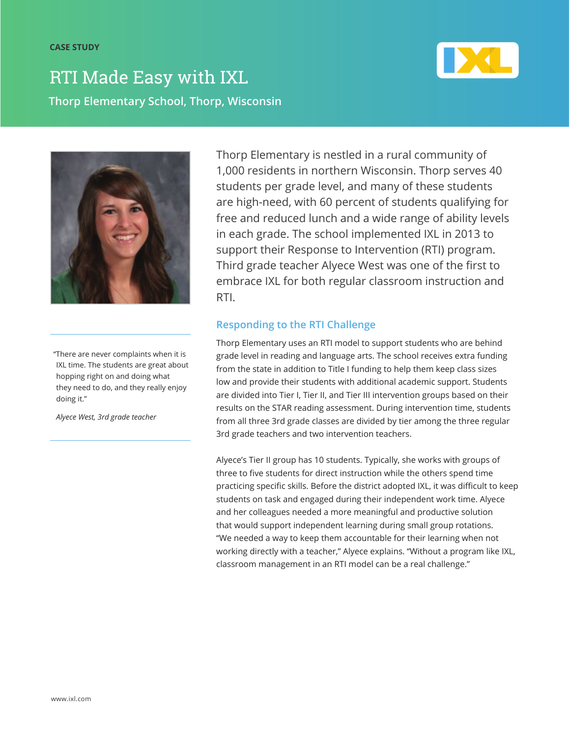

**Thorp Elementary School, Thorp, Wisconsin** RTI Made Easy with IXL



"There are never complaints when it is IXL time. The students are great about hopping right on and doing what they need to do, and they really enjoy doing it."

*Alyece West, 3rd grade teacher*

Thorp Elementary is nestled in a rural community of 1,000 residents in northern Wisconsin. Thorp serves 40 students per grade level, and many of these students are high-need, with 60 percent of students qualifying for free and reduced lunch and a wide range of ability levels in each grade. The school implemented IXL in 2013 to support their Response to Intervention (RTI) program. Third grade teacher Alyece West was one of the first to embrace IXL for both regular classroom instruction and RTI.

## **Responding to the RTI Challenge**

Thorp Elementary uses an RTI model to support students who are behind grade level in reading and language arts. The school receives extra funding from the state in addition to Title I funding to help them keep class sizes low and provide their students with additional academic support. Students are divided into Tier I, Tier II, and Tier III intervention groups based on their results on the STAR reading assessment. During intervention time, students from all three 3rd grade classes are divided by tier among the three regular 3rd grade teachers and two intervention teachers.

Alyece's Tier II group has 10 students. Typically, she works with groups of three to five students for direct instruction while the others spend time practicing specific skills. Before the district adopted IXL, it was difficult to keep students on task and engaged during their independent work time. Alyece and her colleagues needed a more meaningful and productive solution that would support independent learning during small group rotations. "We needed a way to keep them accountable for their learning when not working directly with a teacher," Alyece explains. "Without a program like IXL, classroom management in an RTI model can be a real challenge."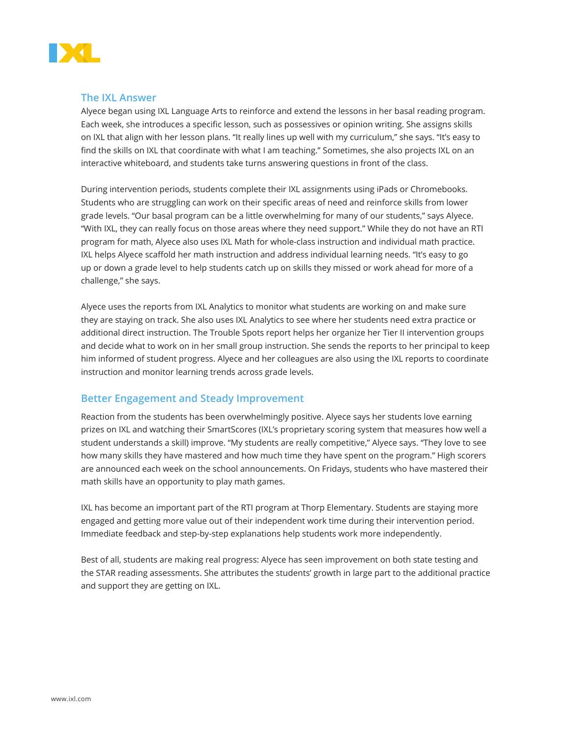

#### **The IXL Answer**

Alyece began using IXL Language Arts to reinforce and extend the lessons in her basal reading program. Each week, she introduces a specific lesson, such as possessives or opinion writing. She assigns skills on IXL that align with her lesson plans. "It really lines up well with my curriculum," she says. "It's easy to find the skills on IXL that coordinate with what I am teaching." Sometimes, she also projects IXL on an interactive whiteboard, and students take turns answering questions in front of the class.

During intervention periods, students complete their IXL assignments using iPads or Chromebooks. Students who are struggling can work on their specific areas of need and reinforce skills from lower grade levels. "Our basal program can be a little overwhelming for many of our students," says Alyece. "With IXL, they can really focus on those areas where they need support." While they do not have an RTI program for math, Alyece also uses IXL Math for whole-class instruction and individual math practice. IXL helps Alyece scaffold her math instruction and address individual learning needs. "It's easy to go up or down a grade level to help students catch up on skills they missed or work ahead for more of a challenge," she says.

Alyece uses the reports from IXL Analytics to monitor what students are working on and make sure they are staying on track. She also uses IXL Analytics to see where her students need extra practice or additional direct instruction. The Trouble Spots report helps her organize her Tier II intervention groups and decide what to work on in her small group instruction. She sends the reports to her principal to keep him informed of student progress. Alyece and her colleagues are also using the IXL reports to coordinate instruction and monitor learning trends across grade levels.

### **Better Engagement and Steady Improvement**

Reaction from the students has been overwhelmingly positive. Alyece says her students love earning prizes on IXL and watching their SmartScores (IXL's proprietary scoring system that measures how well a student understands a skill) improve. "My students are really competitive," Alyece says. "They love to see how many skills they have mastered and how much time they have spent on the program." High scorers are announced each week on the school announcements. On Fridays, students who have mastered their math skills have an opportunity to play math games.

IXL has become an important part of the RTI program at Thorp Elementary. Students are staying more engaged and getting more value out of their independent work time during their intervention period. Immediate feedback and step-by-step explanations help students work more independently.

Best of all, students are making real progress: Alyece has seen improvement on both state testing and the STAR reading assessments. She attributes the students' growth in large part to the additional practice and support they are getting on IXL.